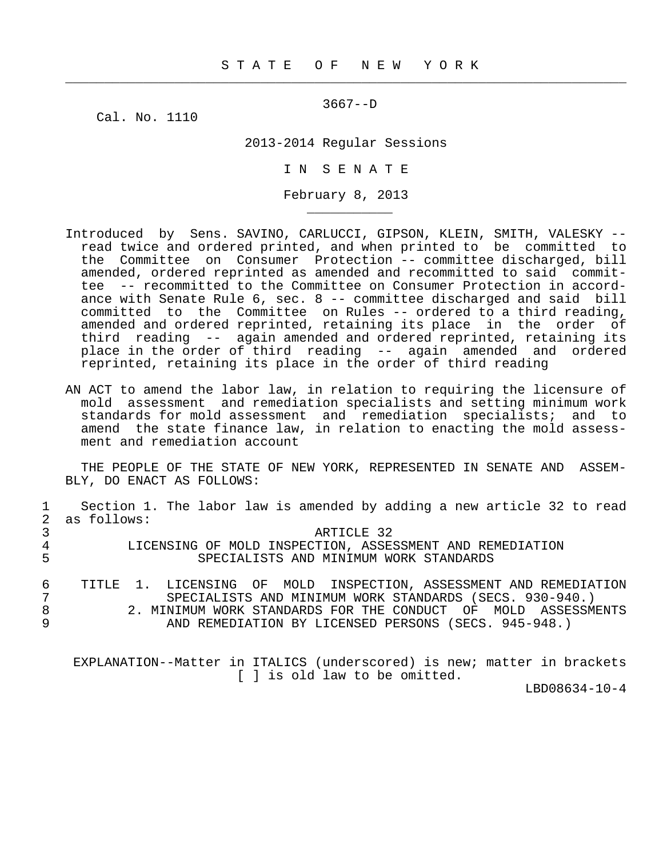$\frac{1}{2}$  , and the contribution of the contribution of the contribution of the contribution of the contribution of the contribution of the contribution of the contribution of the contribution of the contribution of the c

3667--D

Cal. No. 1110

\_\_\_\_\_\_\_\_\_\_\_

2013-2014 Regular Sessions

I N S E N A T E

February 8, 2013

- Introduced by Sens. SAVINO, CARLUCCI, GIPSON, KLEIN, SMITH, VALESKY read twice and ordered printed, and when printed to be committed to the Committee on Consumer Protection -- committee discharged, bill amended, ordered reprinted as amended and recommitted to said commit tee -- recommitted to the Committee on Consumer Protection in accord ance with Senate Rule 6, sec. 8 -- committee discharged and said bill committed to the Committee on Rules -- ordered to a third reading, amended and ordered reprinted, retaining its place in the order of third reading -- again amended and ordered reprinted, retaining its place in the order of third reading -- again amended and ordered reprinted, retaining its place in the order of third reading
- AN ACT to amend the labor law, in relation to requiring the licensure of mold assessment and remediation specialists and setting minimum work standards for mold assessment and remediation specialists; and to amend the state finance law, in relation to enacting the mold assess ment and remediation account

 THE PEOPLE OF THE STATE OF NEW YORK, REPRESENTED IN SENATE AND ASSEM- BLY, DO ENACT AS FOLLOWS:

|   | Section 1. The labor law is amended by adding a new article 32 to read |
|---|------------------------------------------------------------------------|
|   | as follows:                                                            |
|   | ARTICLE 32                                                             |
|   | LICENSING OF MOLD INSPECTION, ASSESSMENT AND REMEDIATION               |
| 5 | SPECIALISTS AND MINIMUM WORK STANDARDS                                 |
|   |                                                                        |
| 6 | LICENSING OF MOLD INSPECTION, ASSESSMENT AND REMEDIATION<br>TITLE.     |
|   | SPECIALISTS AND MINIMUM WORK STANDARDS (SECS. 930-940.)                |
| 8 | 2. MINIMUM WORK STANDARDS FOR THE CONDUCT OF MOLD ASSESSMENTS          |
| 9 | AND REMEDIATION BY LICENSED PERSONS (SECS. 945-948.)                   |
|   |                                                                        |
|   |                                                                        |
|   |                                                                        |

 EXPLANATION--Matter in ITALICS (underscored) is new; matter in brackets [ ] is old law to be omitted.

LBD08634-10-4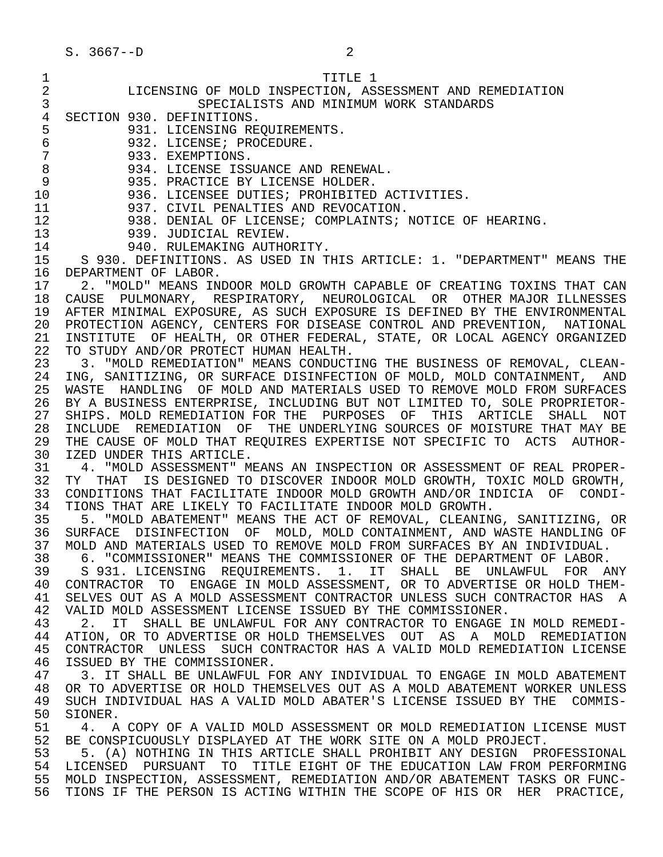| 1              | TITLE 1                                                                      |
|----------------|------------------------------------------------------------------------------|
| 2              | LICENSING OF MOLD INSPECTION, ASSESSMENT AND REMEDIATION                     |
| 3              | SPECIALISTS AND MINIMUM WORK STANDARDS                                       |
| $\overline{4}$ | SECTION 930. DEFINITIONS.                                                    |
| 5              | 931. LICENSING REQUIREMENTS.                                                 |
| 6              | 932. LICENSE; PROCEDURE.                                                     |
| $\sqrt{ }$     | 933. EXEMPTIONS.                                                             |
| 8              | 934. LICENSE ISSUANCE AND RENEWAL.                                           |
| 9              | 935. PRACTICE BY LICENSE HOLDER.                                             |
| 10             | 936. LICENSEE DUTIES; PROHIBITED ACTIVITIES.                                 |
| 11             | 937. CIVIL PENALTIES AND REVOCATION.                                         |
| 12             | 938. DENIAL OF LICENSE; COMPLAINTS; NOTICE OF HEARING.                       |
| 13             | 939. JUDICIAL REVIEW.                                                        |
| 14             | 940. RULEMAKING AUTHORITY.                                                   |
| 15             | S 930. DEFINITIONS. AS USED IN THIS ARTICLE: 1. "DEPARTMENT" MEANS THE       |
| 16             | DEPARTMENT OF LABOR.                                                         |
| 17             | 2. "MOLD" MEANS INDOOR MOLD GROWTH CAPABLE OF CREATING TOXINS THAT CAN       |
|                | CAUSE PULMONARY, RESPIRATORY, NEUROLOGICAL OR OTHER MAJOR ILLNESSES          |
| 18             |                                                                              |
| 19             | AFTER MINIMAL EXPOSURE, AS SUCH EXPOSURE IS DEFINED BY THE ENVIRONMENTAL     |
| 20             | PROTECTION AGENCY, CENTERS FOR DISEASE CONTROL AND PREVENTION, NATIONAL      |
| 21             | OF HEALTH, OR OTHER FEDERAL, STATE, OR LOCAL AGENCY ORGANIZED<br>INSTITUTE   |
| 22             | TO STUDY AND/OR PROTECT HUMAN HEALTH.                                        |
| 23             | 3. "MOLD REMEDIATION" MEANS CONDUCTING THE BUSINESS OF REMOVAL, CLEAN-       |
| 24             | ING, SANITIZING, OR SURFACE DISINFECTION OF MOLD, MOLD CONTAINMENT, AND      |
| 25             | WASTE HANDLING OF MOLD AND MATERIALS USED TO REMOVE MOLD FROM SURFACES       |
| 26             | BY A BUSINESS ENTERPRISE, INCLUDING BUT NOT LIMITED TO, SOLE PROPRIETOR-     |
| 27             | SHIPS. MOLD REMEDIATION FOR THE PURPOSES OF THIS ARTICLE<br>SHALL NOT        |
| 28             | INCLUDE REMEDIATION OF THE UNDERLYING SOURCES OF MOISTURE THAT MAY BE        |
| 29             | THE CAUSE OF MOLD THAT REQUIRES EXPERTISE NOT SPECIFIC TO ACTS<br>AUTHOR-    |
| 30             | IZED UNDER THIS ARTICLE.                                                     |
| 31             | 4. "MOLD ASSESSMENT" MEANS AN INSPECTION OR ASSESSMENT OF REAL PROPER-       |
| 32             | THAT<br>IS DESIGNED TO DISCOVER INDOOR MOLD GROWTH, TOXIC MOLD GROWTH,<br>TY |
| 33             | CONDITIONS THAT FACILITATE INDOOR MOLD GROWTH AND/OR INDICIA OF CONDI-       |
| 34             | TIONS THAT ARE LIKELY TO FACILITATE INDOOR MOLD GROWTH.                      |
| 35             | 5. "MOLD ABATEMENT" MEANS THE ACT OF REMOVAL, CLEANING, SANITIZING, OR       |
| 36             | SURFACE DISINFECTION OF MOLD, MOLD CONTAINMENT, AND WASTE HANDLING OF        |
| 37             | MOLD AND MATERIALS USED TO REMOVE MOLD FROM SURFACES BY AN INDIVIDUAL.       |
| 38             | 6. "COMMISSIONER" MEANS THE COMMISSIONER OF THE DEPARTMENT OF LABOR.         |
| 39             | S 931. LICENSING REQUIREMENTS. 1. IT SHALL BE UNLAWFUL FOR ANY               |
| 40             | CONTRACTOR TO ENGAGE IN MOLD ASSESSMENT, OR TO ADVERTISE OR HOLD THEM-       |
| 41             | SELVES OUT AS A MOLD ASSESSMENT CONTRACTOR UNLESS SUCH CONTRACTOR HAS A      |
| 42             | VALID MOLD ASSESSMENT LICENSE ISSUED BY THE COMMISSIONER.                    |
| 43             | SHALL BE UNLAWFUL FOR ANY CONTRACTOR TO ENGAGE IN MOLD REMEDI-<br>2.<br>IT.  |
| 44             | ATION, OR TO ADVERTISE OR HOLD THEMSELVES OUT AS A MOLD REMEDIATION          |
| 45             | CONTRACTOR UNLESS SUCH CONTRACTOR HAS A VALID MOLD REMEDIATION LICENSE       |
| 46             | ISSUED BY THE COMMISSIONER.                                                  |
| 47             | 3. IT SHALL BE UNLAWFUL FOR ANY INDIVIDUAL TO ENGAGE IN MOLD ABATEMENT       |
| 48             | OR TO ADVERTISE OR HOLD THEMSELVES OUT AS A MOLD ABATEMENT WORKER UNLESS     |
| 49             | SUCH INDIVIDUAL HAS A VALID MOLD ABATER'S LICENSE ISSUED BY THE<br>COMMIS-   |
| 50             | SIONER.                                                                      |
| 51             | A COPY OF A VALID MOLD ASSESSMENT OR MOLD REMEDIATION LICENSE MUST<br>4.     |
| 52             | BE CONSPICUOUSLY DISPLAYED AT THE WORK SITE ON A MOLD PROJECT.               |
| 53             | 5. (A) NOTHING IN THIS ARTICLE SHALL PROHIBIT ANY DESIGN PROFESSIONAL        |
| 54             | TO TITLE EIGHT OF THE EDUCATION LAW FROM PERFORMING<br>LICENSED PURSUANT     |
| 55             | MOLD INSPECTION, ASSESSMENT, REMEDIATION AND/OR ABATEMENT TASKS OR FUNC-     |
| 56             | TIONS IF THE PERSON IS ACTING WITHIN THE SCOPE OF HIS OR HER<br>PRACTICE,    |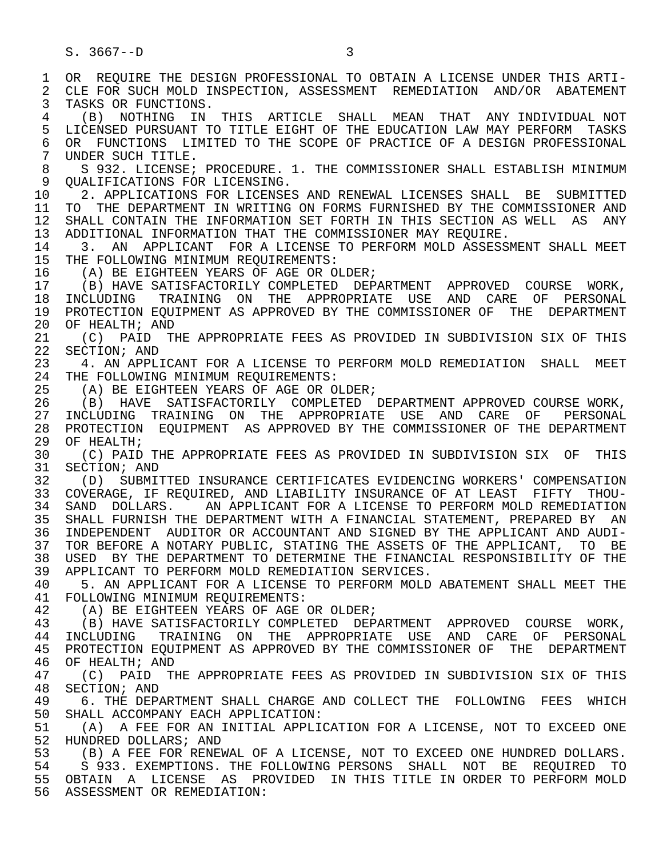1 OR REQUIRE THE DESIGN PROFESSIONAL TO OBTAIN A LICENSE UNDER THIS ARTI-<br>2 CLE FOR SUCH MOLD INSPECTION, ASSESSMENT REMEDIATION AND/OR ABATEMENT 2 CLE FOR SUCH MOLD INSPECTION, ASSESSMENT REMEDIATION AND/OR ABATEMENT<br>3 TASKS OR FUNCTIONS. TASKS OR FUNCTIONS. 4 (B) NOTHING IN THIS ARTICLE SHALL MEAN THAT ANY INDIVIDUAL NOT 5 LICENSED PURSUANT TO TITLE EIGHT OF THE EDUCATION LAW MAY PERFORM TASKS<br>6 OR FUNCTIONS LIMITED TO THE SCOPE OF PRACTICE OF A DESIGN PROFESSIONAL 6 OR FUNCTIONS LIMITED TO THE SCOPE OF PRACTICE OF A DESIGN PROFESSIONAL<br>7 UNDER SUCH TITLE. UNDER SUCH TITLE. 8 S 932. LICENSE; PROCEDURE. 1. THE COMMISSIONER SHALL ESTABLISH MINIMUM 9 QUALIFICATIONS FOR LICENSING.<br>10 2. APPLICATIONS FOR LICENSE 10 1. APPLICATIONS FOR LICENSES AND RENEWAL LICENSES SHALL BE SUBMITTED<br>11 TO THE DEPARTMENT IN WRITING ON FORMS FURNISHED BY THE COMMISSIONER AND 11 TO THE DEPARTMENT IN WRITING ON FORMS FURNISHED BY THE COMMISSIONER AND<br>12 SHALL CONTAIN THE INFORMATION SET FORTH IN THIS SECTION AS WELL AS ANY SHALL CONTAIN THE INFORMATION SET FORTH IN THIS SECTION AS WELL AS ANY 13 ADDITIONAL INFORMATION THAT THE COMMISSIONER MAY REQUIRE.<br>14 3. AN APPLICANT FOR A LICENSE TO PERFORM MOLD ASSESS 14 3. AN APPLICANT FOR A LICENSE TO PERFORM MOLD ASSESSMENT SHALL MEET<br>15 THE FOLLOWING MINIMUM REOUIREMENTS: 15 THE FOLLOWING MINIMUM REQUIREMENTS:<br>16 (A) BE EIGHTEEN YEARS OF AGE OR O 16 (A) BE EIGHTEEN YEARS OF AGE OR OLDER;<br>17 (B) HAVE SATISFACTORILY COMPLETED DEP 17 (B) HAVE SATISFACTORILY COMPLETED DEPARTMENT APPROVED COURSE WORK,<br>18 INCLUDING TRAINING ON THE APPROPRIATE USE AND CARE OF PERSONAL 18 INCLUDING TRAINING ON THE APPROPRIATE USE AND CARE OF PERSONAL<br>19 PROTECTION EOUIPMENT AS APPROVED BY THE COMMISSIONER OF THE DEPARTMENT 19 PROTECTION EQUIPMENT AS APPROVED BY THE COMMISSIONER OF THE DEPARTMENT<br>20 OF HEALTH; AND 20 OF HEALTH; AND<br>21 (C) PAID T 21 (C) PAID THE APPROPRIATE FEES AS PROVIDED IN SUBDIVISION SIX OF THIS<br>22 SECTION; AND 22 SECTION; AND<br>23 4. AN APPLI 4. AN APPLICANT FOR A LICENSE TO PERFORM MOLD REMEDIATION SHALL MEET 24 THE FOLLOWING MINIMUM REQUIREMENTS:<br>25 (A) BE EIGHTEEN YEARS OF AGE OR O (A) BE EIGHTEEN YEARS OF AGE OR OLDER;

 26 (B) HAVE SATISFACTORILY COMPLETED DEPARTMENT APPROVED COURSE WORK, 27 INCLUDING TRAINING ON THE APPROPRIATE USE AND CARE OF PERSONAL<br>28 PROTECTION EOUIPMENT AS\_APPROVED\_BY\_THE\_COMMISSIONER\_OF\_THE\_DEPARTMENT 28 PROTECTION EQUIPMENT AS APPROVED BY THE COMMISSIONER OF THE DEPARTMENT<br>29 OF HEALTH; 29 OF HEALTH;<br>30 (C) PATD

30 (C) PAID THE APPROPRIATE FEES AS PROVIDED IN SUBDIVISION SIX OF THIS<br>31 SECTION; AND 31 SECTION; AND<br>32 (D) SUBMI.

32 (D) SUBMITTED INSURANCE CERTIFICATES EVIDENCING WORKERS' COMPENSATION<br>33 COVERAGE, IF REOUIRED, AND LIABILITY INSURANCE OF AT LEAST FIFTY THOU-33 COVERAGE, IF REQUIRED, AND LIABILITY INSURANCE OF AT LEAST FIFTY THOU-<br>34 SAND DOLLARS. AN APPLICANT FOR A LICENSE TO PERFORM MOLD REMEDIATION 34 SAND DOLLARS. AN APPLICANT FOR A LICENSE TO PERFORM MOLD REMEDIATION<br>35 SHALL FURNISH THE DEPARTMENT WITH A FINANCIAL STATEMENT, PREPARED BY AN SHALL FURNISH THE DEPARTMENT WITH A FINANCIAL STATEMENT, PREPARED BY AN 36 INDEPENDENT AUDITOR OR ACCOUNTANT AND SIGNED BY THE APPLICANT AND AUDI- 37 TOR BEFORE A NOTARY PUBLIC, STATING THE ASSETS OF THE APPLICANT, TO BE 38 USED BY THE DEPARTMENT TO DETERMINE THE FINANCIAL RESPONSIBILITY OF THE 39 APPLICANT TO PERFORM MOLD REMEDIATION SERVICES. 39 APPLICANT TO PERFORM MOLD REMEDIATION SERVICES.<br>40 5. AN APPLICANT FOR A LICENSE TO PERFORM MOLD

40 5. AN APPLICANT FOR A LICENSE TO PERFORM MOLD ABATEMENT SHALL MEET THE 41 FOLLOWING MINIMUM REOUIREMENTS: 41 FOLLOWING MINIMUM REQUIREMENTS:<br>42 (A) BE EIGHTEEN YEARS OF AGE

42 (A) BE EIGHTEEN YEARS OF AGE OR OLDER;<br>43 (B) HAVE SATISFACTORILY COMPLETED DEP

43 (B) HAVE SATISFACTORILY COMPLETED DEPARTMENT APPROVED COURSE WORK,<br>44 INCLUDING TRAINING ON THE APPROPRIATE USE AND CARE OF PERSONAL 44 INCLUDING TRAINING ON THE APPROPRIATE USE AND CARE OF PERSONAL<br>45 PROTECTION EOUIPMENT AS APPROVED BY THE COMMISSIONER OF THE DEPARTMENT PROTECTION EOUIPMENT AS APPROVED BY THE COMMISSIONER OF THE DEPARTMENT 46 OF HEALTH; AND<br>47 (C) PATD TI

47 (C) PAID THE APPROPRIATE FEES AS PROVIDED IN SUBDIVISION SIX OF THIS<br>48 SECTION; AND 48 SECTION; AND<br>49 6. THE DEP<sub>1</sub>

49 6. THE DEPARTMENT SHALL CHARGE AND COLLECT THE FOLLOWING FEES WHICH<br>50 SHALL ACCOMPANY EACH APPLICATION: 50 SHALL ACCOMPANY EACH APPLICATION:<br>51 (A) A FEE FOR AN INITIAL APPLI

51 (A) A FEE FOR AN INITIAL APPLICATION FOR A LICENSE, NOT TO EXCEED ONE 52 HUNDRED DOLLARS; AND 52 HUNDRED DOLLARS; AND

53 (B) A FEE FOR RENEWAL OF A LICENSE, NOT TO EXCEED ONE HUNDRED DOLLARS.<br>54 – S 933, EXEMPTIONS, THE FOLLOWING PERSONS, SHALL, NOT, BE, REQUIRED, TO 54 S 933. EXEMPTIONS. THE FOLLOWING PERSONS SHALL NOT BE REQUIRED TO<br>55 OBTAIN A LICENSE AS PROVIDED IN THIS TITLE IN ORDER TO PERFORM MOLD 55 OBTAIN A LICENSE AS PROVIDED IN THIS TITLE IN ORDER TO PERFORM MOLD 56 ASSESSMENT OR REMEDIATION: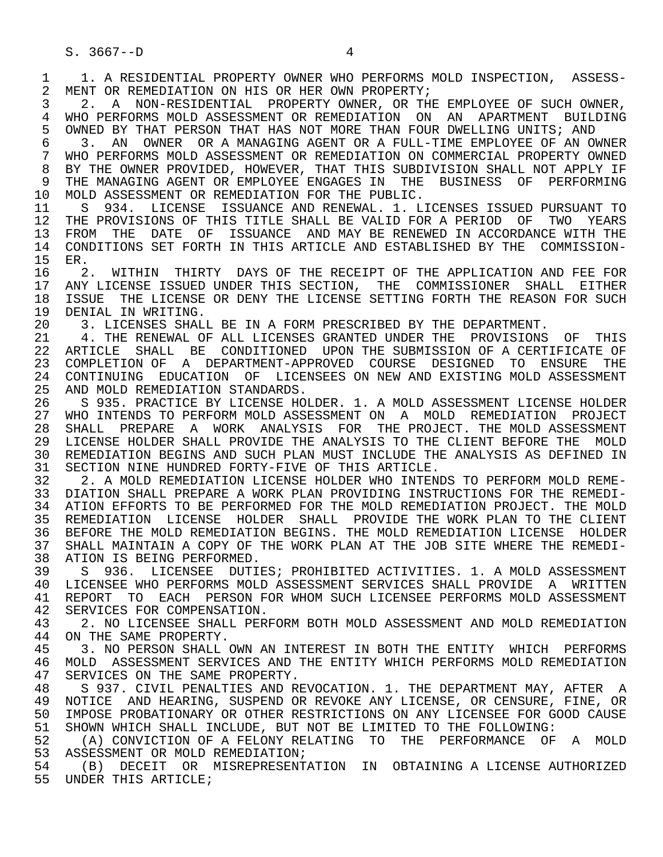1 1. A RESIDENTIAL PROPERTY OWNER WHO PERFORMS MOLD INSPECTION, ASSESS-<br>2 MENT OR REMEDIATION ON HIS OR HER OWN PROPERTY; 2 MENT OR REMEDIATION ON HIS OR HER OWN PROPERTY;<br>3 2. A NON-RESIDENTIAL PROPERTY OWNER, OR THI 3 2. A NON-RESIDENTIAL PROPERTY OWNER, OR THE EMPLOYEE OF SUCH OWNER, 4 WHO PERFORMS MOLD ASSESSMENT OR REMEDIATION ON AN APARTMENT BUILDING<br>5 OWNED BY THAT PERSON THAT HAS NOT MORE THAN FOUR DWELLING UNITS; AND 5 OWNED BY THAT PERSON THAT HAS NOT MORE THAN FOUR DWELLING UNITS; AND<br>6 3. AN OWNER OR A MANAGING AGENT OR A FULL-TIME EMPLOYEE OF AN OU 6 3. AN OWNER OR A MANAGING AGENT OR A FULL-TIME EMPLOYEE OF AN OWNER 7 WHO PERFORMS MOLD ASSESSMENT OR REMEDIATION ON COMMERCIAL PROPERTY OWNED 8 BY THE OWNER PROVIDED, HOWEVER, THAT THIS SUBDIVISION SHALL NOT APPLY IF<br>9 THE MANAGING AGENT OR EMPLOYEE ENGAGES IN THE BUSINESS OF PERFORMING 9 THE MANAGING AGENT OR EMPLOYEE ENGAGES IN THE BUSINESS OF PERFORMING<br>10 MOLD ASSESSMENT OR REMEDIATION FOR THE PUBLIC. 10 MOLD ASSESSMENT OR REMEDIATION FOR THE PUBLIC.<br>11 S 934. LICENSE ISSUANCE AND RENEWAL. 1. L 11 S 934. LICENSE ISSUANCE AND RENEWAL. 1. LICENSES ISSUED PURSUANT TO<br>12 THE PROVISIONS OF THIS TITLE SHALL BE VALID FOR A PERIOD OF TWO YEARS 12 THE PROVISIONS OF THIS TITLE SHALL BE VALID FOR A PERIOD OF TWO YEARS<br>13 FROM THE DATE OF ISSUANCE AND MAY BE RENEWED IN ACCORDANCE WITH THE 13 FROM THE DATE OF ISSUANCE AND MAY BE RENEWED IN ACCORDANCE WITH THE 14 CONDITIONS SET FORTH IN THIS ARTICLE AND ESTABLISHED BY THE COMMISSION-14 CONDITIONS SET FORTH IN THIS ARTICLE AND ESTABLISHED BY THE COMMISSION-<br>15 ER. 15 ER.<br>16 2 16 12. WITHIN THIRTY DAYS OF THE RECEIPT OF THE APPLICATION AND FEE FOR<br>17 ANY LICENSE ISSUED UNDER THIS SECTION, THE COMMISSIONER SHALL EITHER 17 ANY LICENSE ISSUED UNDER THIS SECTION, THE COMMISSIONER SHALL EITHER<br>18 ISSUE THE LICENSE OR DENY THE LICENSE SETTING FORTH THE REASON FOR SUCH 18 ISSUE THE LICENSE OR DENY THE LICENSE SETTING FORTH THE REASON FOR SUCH 19 DENIAL IN WRITING. 19 DENIAL IN WRITING.<br>20 3. LICENSES SHALI 20 3. LICENSES SHALL BE IN A FORM PRESCRIBED BY THE DEPARTMENT.<br>21 3. THE RENEWAL OF ALL LICENSES GRANTED UNDER THE PROVISIONS 21 4. THE RENEWAL OF ALL LICENSES GRANTED UNDER THE PROVISIONS OF THIS<br>22 ARTICLE SHALL BE CONDITIONED UPON THE SUBMISSION OF A CERTIFICATE OF 22 ARTICLE SHALL BE CONDITIONED UPON THE SUBMISSION OF A CERTIFICATE OF<br>23 COMPLETION OF A DEPARTMENT-APPROVED COURSE DESIGNED TO ENSURE THE 23 COMPLETION OF A DEPARTMENT-APPROVED COURSE DESIGNED TO ENSURE THE 24 CONTINUING EDUCATION OF LICENSEES ON NEW AND EXISTING MOLD ASSESSMENT<br>25 AND MOLD REMEDIATION STANDARDS. AND MOLD REMEDIATION STANDARDS. 26 S 935. PRACTICE BY LICENSE HOLDER. 1. A MOLD ASSESSMENT LICENSE HOLDER 27 WHO INTENDS TO PERFORM MOLD ASSESSMENT ON A MOLD REMEDIATION PROJECT<br>28 SHALL PREPARE A WORK ANALYSIS FOR THE PROJECT. THE MOLD ASSESSMENT 28 SHALL PREPARE A WORK ANALYSIS FOR THE PROJECT. THE MOLD ASSESSMENT<br>29 LICENSE HOLDER SHALL PROVIDE THE ANALYSIS TO THE CLIENT BEFORE THE MOLD 29 LICENSE HOLDER SHALL PROVIDE THE ANALYSIS TO THE CLIENT BEFORE THE MOLD 30 REMEDIATION BEGINS AND SUCH PLAN MUST INCLUDE THE ANALYSIS AS DEFINED IN 31 SECTION NINE HUNDRED FORTY-FIVE OF THIS ARTICLE.<br>32 2. A MOLD REMEDIATION LICENSE HOLDER WHO INTENI 32 2. A MOLD REMEDIATION LICENSE HOLDER WHO INTENDS TO PERFORM MOLD REME- 33 DIATION SHALL PREPARE A WORK PLAN PROVIDING INSTRUCTIONS FOR THE REMEDI-<br>34 ATION EFFORTS TO BE PERFORMED FOR THE MOLD REMEDIATION PROJECT. THE MOLD 34 ATION EFFORTS TO BE PERFORMED FOR THE MOLD REMEDIATION PROJECT. THE MOLD<br>35 REMEDIATION LICENSE HOLDER SHALL PROVIDE THE WORK PLAN TO THE CLIENT 35 REMEDIATION LICENSE HOLDER SHALL PROVIDE THE WORK PLAN TO THE CLIENT<br>36 BEFORE THE MOLD REMEDIATION BEGINS. THE MOLD REMEDIATION LICENSE HOLDER 36 BEFORE THE MOLD REMEDIATION BEGINS. THE MOLD REMEDIATION LICENSE HOLDER 37 SHALL MAINTAIN A COPY OF THE WORK PLAN AT THE JOB SITE WHERE THE REMEDI- 38 ATION IS BEING PERFORMED.<br>39 S 936. LICENSEE DUTI 39 S 936. LICENSEE DUTIES; PROHIBITED ACTIVITIES. 1. A MOLD ASSESSMENT<br>40 LICENSEE WHO PERFORMS MOLD ASSESSMENT SERVICES SHALL PROVIDE A WRITTEN 40 LICENSEE WHO PERFORMS MOLD ASSESSMENT SERVICES SHALL PROVIDE A WRITTEN<br>41 REPORT TO EACH PERSON FOR WHOM SUCH LICENSEE PERFORMS MOLD ASSESSMENT 41 REPORT TO EACH PERSON FOR WHOM SUCH LICENSEE PERFORMS MOLD ASSESSMENT<br>42 SERVICES FOR COMPENSATION. 42 SERVICES FOR COMPENSATION.<br>43 12. NO LICENSEE SHALL PER 43 2. NO LICENSEE SHALL PERFORM BOTH MOLD ASSESSMENT AND MOLD REMEDIATION<br>44 ON THE SAME PROPERTY. 44 ON THE SAME PROPERTY.<br>45 3. NO PERSON SHALL ( 45 3. NO PERSON SHALL OWN AN INTEREST IN BOTH THE ENTITY WHICH PERFORMS 46 MOLD ASSESSMENT SERVICES AND THE ENTITY WHICH PERFORMS MOLD REMEDIATION<br>47 SERVICES ON THE SAME PROPERTY. 47 SERVICES ON THE SAME PROPERTY.<br>48 S 937. CIVIL PENALTIES AND RI 48 S 937. CIVIL PENALTIES AND REVOCATION. 1. THE DEPARTMENT MAY, AFTER A 49 NOTICE AND HEARING, SUSPEND OR REVOKE ANY LICENSE, OR CENSURE, FINE, OR 49 NOTICE AND HEARING, SUSPEND OR REVOKE ANY LICENSE, OR CENSURE, FINE, OR<br>50 IMPOSE PROBATIONARY OR OTHER RESTRICTIONS ON ANY LICENSEE FOR GOOD CAUSE 50 IMPOSE PROBATIONARY OR OTHER RESTRICTIONS ON ANY LICENSEE FOR GOOD CAUSE<br>51 SHOWN WHICH SHALL INCLUDE, BUT NOT BE LIMITED TO THE FOLLOWING: 51 SHOWN WHICH SHALL INCLUDE, BUT NOT BE LIMITED TO THE FOLLOWING:<br>52 (A) CONVICTION OF A FELONY RELATING TO THE PERFORMANCE OF (A) CONVICTION OF A FELONY RELATING TO THE PERFORMANCE OF A MOLD 53 ASSESSMENT OR MOLD REMEDIATION;<br>54 (B) DECEIT OR MISREPRESENT; (B) DECEIT OR MISREPRESENTATION IN OBTAINING A LICENSE AUTHORIZED 55 UNDER THIS ARTICLE;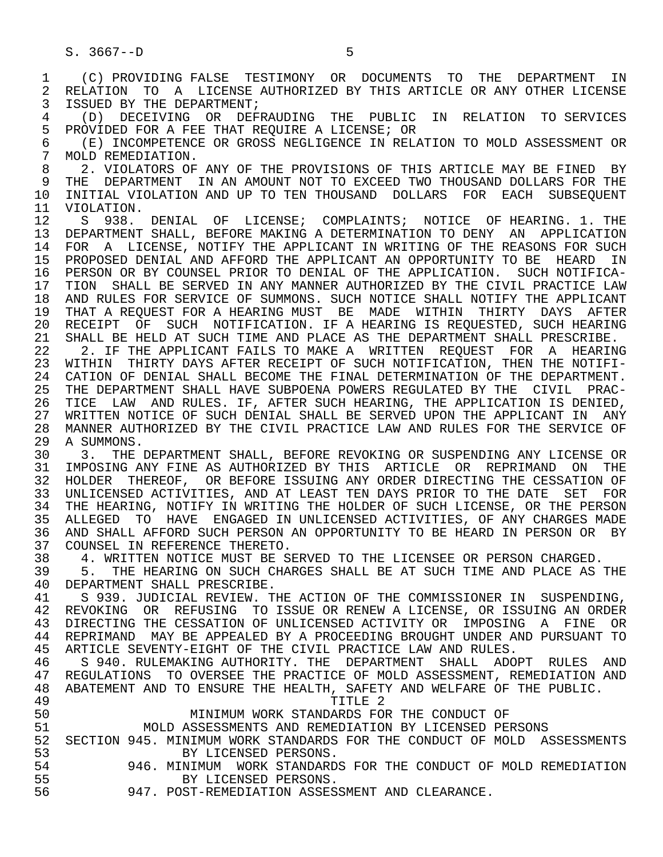$S. 3667 - D$  5 1 (C) PROVIDING FALSE TESTIMONY OR DOCUMENTS TO THE DEPARTMENT IN<br>2 RELATION TO A LICENSE AUTHORIZED BY THIS ARTICLE OR ANY OTHER LICENSE 2 RELATION TO A LICENSE AUTHORIZED BY THIS ARTICLE OR ANY OTHER LICENSE<br>3 ISSUED BY THE DEPARTMENT; 3 ISSUED BY THE DEPARTMENT; 4 (D) DECEIVING OR DEFRAUDING THE PUBLIC IN RELATION TO SERVICES 5 PROVIDED FOR A FEE THAT REQUIRE A LICENSE; OR<br>6 (E) INCOMPETENCE OR GROSS NEGLIGENCE IN REL 6 (E) INCOMPETENCE OR GROSS NEGLIGENCE IN RELATION TO MOLD ASSESSMENT OR<br>7 MOLD REMEDIATION.

7 MOLD REMEDIATION.<br>8 2. VIOLATORS OF 8 2. VIOLATORS OF ANY OF THE PROVISIONS OF THIS ARTICLE MAY BE FINED BY<br>9 THE DEPARTMENT IN AN AMOUNT NOT TO EXCEED TWO THOUSAND DOLLARS FOR THE 9 THE DEPARTMENT IN AN AMOUNT NOT TO EXCEED TWO THOUSAND DOLLARS FOR THE<br>10 INITIAL VIOLATION AND UP TO TEN THOUSAND DOLLARS FOR EACH SUBSEOUENT 10 INITIAL VIOLATION AND UP TO TEN THOUSAND DOLLARS FOR EACH SUBSEQUENT<br>11 VIOLATION. 11 VIOLATION.<br>12 S 938.

S 938. DENIAL OF LICENSE; COMPLAINTS; NOTICE OF HEARING. 1. THE 13 DEPARTMENT SHALL, BEFORE MAKING A DETERMINATION TO DENY AN APPLICATION<br>14 FOR A LICENSE, NOTIFY THE APPLICANT IN WRITING OF THE REASONS FOR SUCH 14 FOR A LICENSE, NOTIFY THE APPLICANT IN WRITING OF THE REASONS FOR SUCH 15 PROPOSED DENIAL AND AFFORD THE APPLICANT AN OPPORTUNITY TO BE HEARD IN<br>16 PERSON OR BY COUNSEL PRIOR TO DENIAL OF THE APPLICATION. SUCH NOTIFICA-16 PERSON OR BY COUNSEL PRIOR TO DENIAL OF THE APPLICATION. SUCH NOTIFICA-<br>17 TION SHALL BE SERVED IN ANY MANNER AUTHORIZED BY THE CIVIL PRACTICE LAW 17 TION SHALL BE SERVED IN ANY MANNER AUTHORIZED BY THE CIVIL PRACTICE LAW 18 AND RULES FOR SERVICE OF SUMMONS. SUCH NOTICE SHALL NOTIFY THE APPLICANT<br>19 THAT A REOUEST FOR A HEARING MUST BE, MADE, WITHIN, THIRTY, DAYS, AFTER 19 THAT A REQUEST FOR A HEARING MUST BE MADE WITHIN THIRTY DAYS AFTER<br>20 RECEIPT OF SUCH NOTIFICATION. IF A HEARING IS REOUESTED, SUCH HEARING 20 RECEIPT OF SUCH NOTIFICATION. IF A HEARING IS REQUESTED, SUCH HEARING<br>21 SHALL BE HELD AT SUCH TIME AND PLACE AS THE DEPARTMENT SHALL PRESCRIBE. 21 SHALL BE HELD AT SUCH TIME AND PLACE AS THE DEPARTMENT SHALL PRESCRIBE.<br>22 T 2. IF THE APPLICANT FAILS TO MAKE AT WRITTEN REOUEST FOR AT HEARING 22 2. IF THE APPLICANT FAILS TO MAKE A WRITTEN REQUEST FOR A HEARING<br>23 WITHIN THIRTY DAYS AFTER RECEIPT OF SUCH NOTIFICATION, THEN THE NOTIFI-23 WITHIN THIRTY DAYS AFTER RECEIPT OF SUCH NOTIFICATION, THEN THE NOTIFI-

24 CATION OF DENIAL SHALL BECOME THE FINAL DETERMINATION OF THE DEPARTMENT.<br>25 THE DEPARTMENT SHALL HAVE SUBPOENA POWERS REGULATED BY THE CIVIL PRAC-THE DEPARTMENT SHALL HAVE SUBPOENA POWERS REGULATED BY THE CIVIL PRAC-26 TICE LAW AND RULES. IF, AFTER SUCH HEARING, THE APPLICATION IS DENIED,<br>27 WRITTEN NOTICE OF SUCH DENIAL SHALL BE SERVED UPON THE APPLICANT IN ANY 27 WRITTEN NOTICE OF SUCH DENIAL SHALL BE SERVED UPON THE APPLICANT IN ANY<br>28 MANNER AUTHORIZED BY THE CIVIL PRACTICE LAW AND RULES FOR THE SERVICE OF 28 MANNER AUTHORIZED BY THE CIVIL PRACTICE LAW AND RULES FOR THE SERVICE OF 29 A SUMMONS.<br>30 3. THE

30 3. THE DEPARTMENT SHALL, BEFORE REVOKING OR SUSPENDING ANY LICENSE OR<br>31 IMPOSING ANY FINE AS AUTHORIZED BY THIS ARTICLE OR REPRIMAND ON THE 31 IMPOSING ANY FINE AS AUTHORIZED BY THIS ARTICLE OR REPRIMAND ON THE 32 HOLDER THEREOF. OR BEFORE ISSUING ANY ORDER DIRECTING THE CESSATION OF 32 HOLDER THEREOF, OR BEFORE ISSUING ANY ORDER DIRECTING THE CESSATION OF<br>33 UNLICENSED ACTIVITIES, AND AT LEAST TEN DAYS PRIOR TO THE DATE SET FOR 33 UNLICENSED ACTIVITIES, AND AT LEAST TEN DAYS PRIOR TO THE DATE SET FOR<br>34 THE HEARING, NOTIFY IN WRITING THE HOLDER OF SUCH LICENSE, OR THE PERSON 34 THE HEARING, NOTIFY IN WRITING THE HOLDER OF SUCH LICENSE, OR THE PERSON<br>35 ALLEGED TO HAVE ENGAGED IN UNLICENSED ACTIVITIES, OF ANY CHARGES MADE 35 ALLEGED TO HAVE ENGAGED IN UNLICENSED ACTIVITIES, OF ANY CHARGES MADE 36 AND SHALL AFFORD SUCH PERSON AN OPPORTUNITY TO BE HEARD IN PERSON OR BY

37 COUNSEL IN REFERENCE THERETO.<br>38 39 4. WRITTEN NOTICE MUST BE SI 38 4. WRITTEN NOTICE MUST BE SERVED TO THE LICENSEE OR PERSON CHARGED.<br>39 5. THE HEARING ON SUCH CHARGES SHALL BE AT SUCH TIME AND PLACE AS

 39 5. THE HEARING ON SUCH CHARGES SHALL BE AT SUCH TIME AND PLACE AS THE 40 DEPARTMENT SHALL PRESCRIBE.<br>41 S 939 JUDICIAL REVIEW T

41 S 939. JUDICIAL REVIEW. THE ACTION OF THE COMMISSIONER IN SUSPENDING,<br>42 REVOKING OR REFUSING TO ISSUE OR RENEW A LICENSE, OR ISSUING AN ORDER 42 REVOKING OR REFUSING TO ISSUE OR RENEW A LICENSE, OR ISSUING AN ORDER<br>43 DIRECTING THE CESSATION OF UNLICENSED ACTIVITY OR IMPOSING A FINE OR 43 DIRECTING THE CESSATION OF UNLICENSED ACTIVITY OR IMPOSING A FINE OR<br>44 REPRIMAND MAY BE APPEALED BY A PROCEEDING BROUGHT UNDER AND PURSUANT TO 44 REPRIMAND MAY BE APPEALED BY A PROCEEDING BROUGHT UNDER AND PURSUANT TO<br>45 ARTICLE SEVENTY-EIGHT OF THE CIVIL PRACTICE LAW AND RULES. ARTICLE SEVENTY-EIGHT OF THE CIVIL PRACTICE LAW AND RULES.

46 S 940. RULEMAKING AUTHORITY. THE DEPARTMENT SHALL ADOPT RULES AND<br>47 REGULATIONS TO OVERSEE THE PRACTICE OF MOLD ASSESSMENT, REMEDIATION AND 47 REGULATIONS TO OVERSEE THE PRACTICE OF MOLD ASSESSMENT, REMEDIATION AND TO OVERSEE THE PUBLIC. 48 ABATEMENT AND TO ENSURE THE HEALTH, SAFETY AND WELFARE OF THE PUBLIC.<br>TITLE 2

## 49 TITLE 2

50 MINIMUM WORK STANDARDS FOR THE CONDUCT OF<br>51 MOLD ASSESSMENTS AND REMEDIATION BY LICENSED PE 51 MOLD ASSESSMENTS AND REMEDIATION BY LICENSED PERSONS

52 SECTION 945. MINIMUM WORK STANDARDS FOR THE CONDUCT OF MOLD ASSESSMENTS<br>53 BY LICENSED PERSONS. 53 BY LICENSED PERSONS.

- 54 946. MINIMUM WORK STANDARDS FOR THE CONDUCT OF MOLD REMEDIATION 55 BY LICENSED PERSONS.
- 56 947. POST-REMEDIATION ASSESSMENT AND CLEARANCE.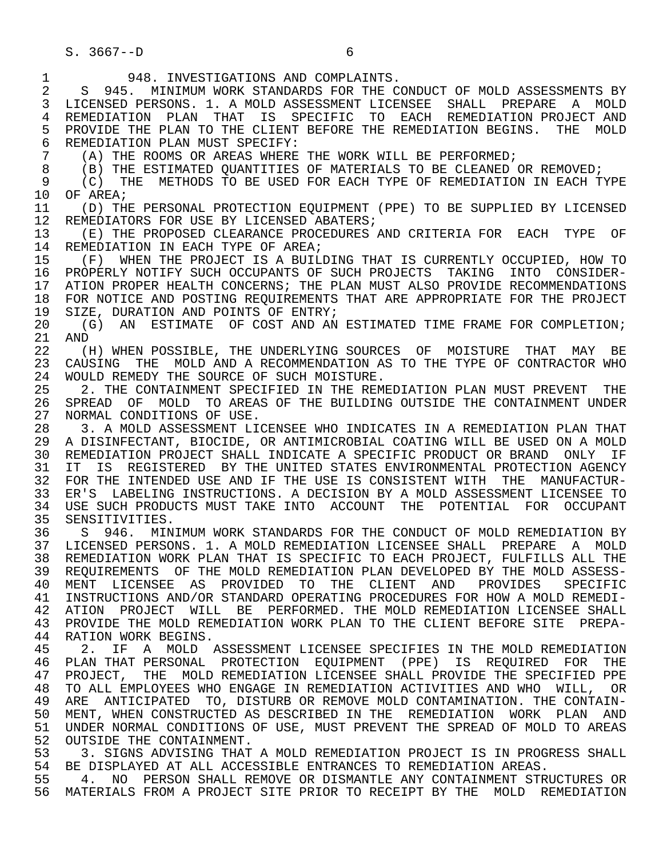$S. 3667 - D$  6

1 948. INVESTIGATIONS AND COMPLAINTS.<br>2 S 945. MINIMUM WORK STANDARDS FOR THE C 2 S 945. MINIMUM WORK STANDARDS FOR THE CONDUCT OF MOLD ASSESSMENTS BY<br>3 LICENSED PERSONS. 1. A MOLD ASSESSMENT LICENSEE SHALL PREPARE A MOLD 3 LICENSED PERSONS. 1. A MOLD ASSESSMENT LICENSEE SHALL PREPARE A MOLD 4 REMEDIATION PLAN THAT IS SPECIFIC TO EACH REMEDIATION PROJECT AND<br>5 PROVIDE THE PLAN TO THE CLIENT BEFORE THE REMEDIATION BEGINS. THE MOLD 5 PROVIDE THE PLAN TO THE CLIENT BEFORE THE REMEDIATION BEGINS. THE MOLD<br>6 REMEDIATION PLAN MUST SPECIFY: 6 REMEDIATION PLAN MUST SPECIFY:<br>7 (A) THE ROOMS OR AREAS WHERE 7 (A) THE ROOMS OR AREAS WHERE THE WORK WILL BE PERFORMED;<br>8 (B) THE ESTIMATED OUANTITIES OF MATERIALS TO BE CLEANED 8 (B) THE ESTIMATED QUANTITIES OF MATERIALS TO BE CLEANED OR REMOVED;<br>9 (C) THE METHODS TO BE USED FOR EACH TYPE OF REMEDIATION IN EACH T 9 (C) THE METHODS TO BE USED FOR EACH TYPE OF REMEDIATION IN EACH TYPE 10 OF AREA; 10 OF AREA;<br>11 (D) TH 11 (D) THE PERSONAL PROTECTION EQUIPMENT (PPE) TO BE SUPPLIED BY LICENSED<br>12 REMEDIATORS FOR USE BY LICENSED ABATERS; 12 REMEDIATORS FOR USE BY LICENSED ABATERS;<br>13 (E) THE PROPOSED CLEARANCE PROCEDURES 13 (E) THE PROPOSED CLEARANCE PROCEDURES AND CRITERIA FOR EACH TYPE OF 14 REMEDIATION IN EACH TYPE OF AREA; REMEDIATION IN EACH TYPE OF AREA; 15 (F) WHEN THE PROJECT IS A BUILDING THAT IS CURRENTLY OCCUPIED, HOW TO<br>16 PROPERLY NOTIFY SUCH OCCUPANTS OF SUCH PROJECTS TAKING INTO CONSIDER-16 PROPERLY NOTIFY SUCH OCCUPANTS OF SUCH PROJECTS TAKING INTO CONSIDER-<br>17 ATION PROPER HEALTH CONCERNS; THE PLAN MUST ALSO PROVIDE RECOMMENDATIONS 17 ATION PROPER HEALTH CONCERNS; THE PLAN MUST ALSO PROVIDE RECOMMENDATIONS<br>18 FOR NOTICE AND POSTING REOUIREMENTS THAT ARE APPROPRIATE FOR THE PROJECT 18 FOR NOTICE AND POSTING REQUIREMENTS THAT ARE APPROPRIATE FOR THE PROJECT 19 SIZE. DURATION AND POINTS OF ENTRY; 19 SIZE, DURATION AND POINTS OF ENTRY;<br>20 (G) AN ESTIMATE OF COST AND AN 20 (G) AN ESTIMATE OF COST AND AN ESTIMATED TIME FRAME FOR COMPLETION;<br>21 AND 21 AND<br>22 (1 22 (H) WHEN POSSIBLE, THE UNDERLYING SOURCES OF MOISTURE THAT MAY BE<br>23 CAUSING THE MOLD AND A RECOMMENDATION AS TO THE TYPE OF CONTRACTOR WHO CAUSING THE MOLD AND A RECOMMENDATION AS TO THE TYPE OF CONTRACTOR WHO 24 WOULD REMEDY THE SOURCE OF SUCH MOISTURE.<br>25 32 THE CONTAINMENT SPECIFIED IN THE REM 2. THE CONTAINMENT SPECIFIED IN THE REMEDIATION PLAN MUST PREVENT THE 26 SPREAD OF MOLD TO AREAS OF THE BUILDING OUTSIDE THE CONTAINMENT UNDER<br>27 NORMAL CONDITIONS OF USE. 27 NORMAL CONDITIONS OF USE.<br>28 3. A MOLD ASSESSMENT LI 28 3. A MOLD ASSESSMENT LICENSEE WHO INDICATES IN A REMEDIATION PLAN THAT<br>29 A DISINFECTANT, BIOCIDE, OR ANTIMICROBIAL COATING WILL BE USED ON A MOLD 29 A DISINFECTANT, BIOCIDE, OR ANTIMICROBIAL COATING WILL BE USED ON A MOLD<br>30 REMEDIATION PROJECT SHALL INDICATE A SPECIFIC PRODUCT OR BRAND ONLY IF 30 REMEDIATION PROJECT SHALL INDICATE A SPECIFIC PRODUCT OR BRAND ONLY IF<br>31 IT IS REGISTERED BY THE UNITED STATES ENVIRONMENTAL PROTECTION AGENCY 31 IT IS REGISTERED BY THE UNITED STATES ENVIRONMENTAL PROTECTION AGENCY<br>32 FOR THE INTENDED USE AND IF THE USE IS CONSISTENT WITH THE MANUFACTUR-32 FOR THE INTENDED USE AND IF THE USE IS CONSISTENT WITH THE MANUFACTUR-<br>33 ER'S LABELING INSTRUCTIONS. A DECISION BY A MOLD ASSESSMENT LICENSEE TO 33 ER'S LABELING INSTRUCTIONS. A DECISION BY A MOLD ASSESSMENT LICENSEE TO<br>34 USE SUCH PRODUCTS MUST TAKE INTO ACCOUNT THE POTENTIAL FOR OCCUPANT 34 USE SUCH PRODUCTS MUST TAKE INTO ACCOUNT THE POTENTIAL FOR OCCUPANT 35 SENSITIVITIES. 35 SENSITIVITIES.<br>36 S 946. MIN S 946. MINIMUM WORK STANDARDS FOR THE CONDUCT OF MOLD REMEDIATION BY 37 LICENSED PERSONS. 1. A MOLD REMEDIATION LICENSEE SHALL PREPARE A MOLD<br>38 REMEDIATION WORK PLAN THAT IS SPECIFIC TO EACH PROJECT, FULFILLS ALL THE 38 REMEDIATION WORK PLAN THAT IS SPECIFIC TO EACH PROJECT, FULFILLS ALL THE<br>39 REOUIREMENTS OF THE MOLD REMEDIATION PLAN DEVELOPED BY THE MOLD ASSESS-REQUIREMENTS OF THE MOLD REMEDIATION PLAN DEVELOPED BY THE MOLD ASSESS- 40 MENT LICENSEE AS PROVIDED TO THE CLIENT AND PROVIDES SPECIFIC 41 INSTRUCTIONS AND/OR STANDARD OPERATING PROCEDURES FOR HOW A MOLD REMEDI-<br>42 ATION PROJECT WILL BE PERFORMED. THE MOLD REMEDIATION LICENSEE SHALL 42 ATION PROJECT WILL BE PERFORMED. THE MOLD REMEDIATION LICENSEE SHALL<br>43 PROVIDE THE MOLD REMEDIATION WORK PLAN TO THE CLIENT BEFORE SITE PREPA-43 PROVIDE THE MOLD REMEDIATION WORK PLAN TO THE CLIENT BEFORE SITE PREPA-<br>44 RATION WORK BEGINS. 44 RATION WORK BEGINS.<br>45 2. IF A MOLD 2. IF A MOLD ASSESSMENT LICENSEE SPECIFIES IN THE MOLD REMEDIATION 46 PLAN THAT PERSONAL PROTECTION EQUIPMENT (PPE) IS REQUIRED FOR THE<br>47 PROJECT, THE MOLD REMEDIATION LICENSEE SHALL PROVIDE THE SPECIFIED PPE 47 PROJECT, THE MOLD REMEDIATION LICENSEE SHALL PROVIDE THE SPECIFIED PPE<br>48 TO ALL EMPLOYEES WHO ENGAGE IN REMEDIATION ACTIVITIES AND WHO WILL, OR 48 TO ALL EMPLOYEES WHO ENGAGE IN REMEDIATION ACTIVITIES AND WHO WILL, OR<br>49 ARE ANTICIPATED TO, DISTURB OR REMOVE MOLD CONTAMINATION. THE CONTAIN-49 ARE ANTICIPATED TO, DISTURB OR REMOVE MOLD CONTAMINATION. THE CONTAIN-<br>50 MENT, WHEN CONSTRUCTED AS DESCRIBED IN THE REMEDIATION WORK PLAN AND 50 MENT, WHEN CONSTRUCTED AS DESCRIBED IN THE REMEDIATION WORK PLAN AND<br>51 UNDER NORMAL CONDITIONS OF USE, MUST PREVENT THE SPREAD OF MOLD TO AREAS 51 UNDER NORMAL CONDITIONS OF USE, MUST PREVENT THE SPREAD OF MOLD TO AREAS<br>52 OUTSIDE THE CONTAINMENT. 52 OUTSIDE THE CONTAINMENT.<br>53 3. SIGNS ADVISING THAT 53 3. SIGNS ADVISING THAT A MOLD REMEDIATION PROJECT IS IN PROGRESS SHALL<br>54 BE DISPLAYED AT ALL ACCESSIBLE ENTRANCES TO REMEDIATION AREAS. 54 BE DISPLAYED AT ALL ACCESSIBLE ENTRANCES TO REMEDIATION AREAS.<br>55 4. NO PERSON SHALL REMOVE OR DISMANTLE ANY CONTAINMENT STR 55 TO 4. NO PERSON SHALL REMOVE OR DISMANTLE ANY CONTAINMENT STRUCTURES OR<br>56 MATERIALS FROM A PROJECT SITE PRIOR TO RECEIPT BY THE MOLD REMEDIATION 56 MATERIALS FROM A PROJECT SITE PRIOR TO RECEIPT BY THE MOLD REMEDIATION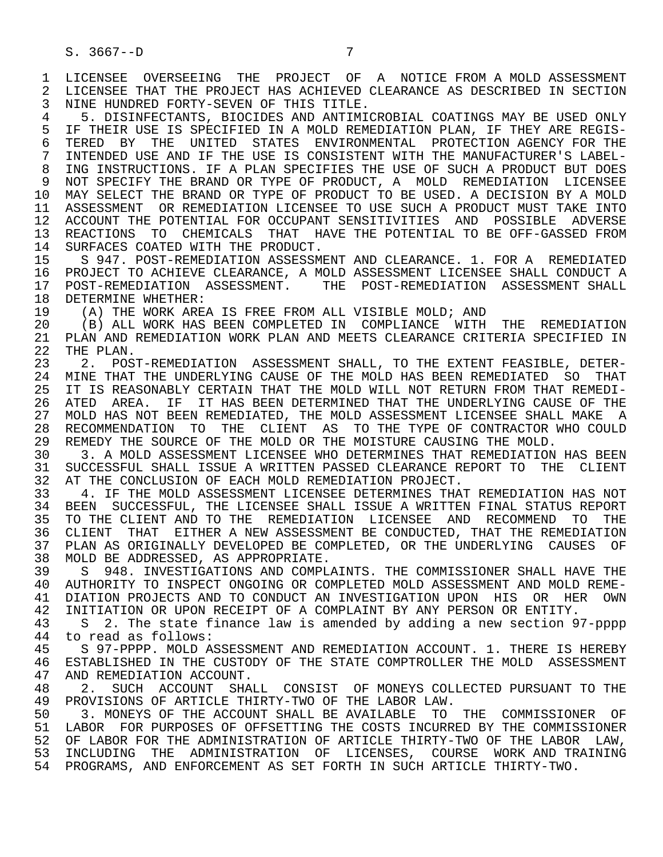4 5. DISINFECTANTS, BIOCIDES AND ANTIMICROBIAL COATINGS MAY BE USED ONLY<br>5 IF THEIR USE IS SPECIFIED IN A MOLD REMEDIATION PLAN, IF THEY ARE REGIS-5 IF THEIR USE IS SPECIFIED IN A MOLD REMEDIATION PLAN, IF THEY ARE REGIS-<br>6 TERED BY THE UNITED STATES ENVIRONMENTAL PROTECTION AGENCY FOR THE 6 TERED BY THE UNITED STATES ENVIRONMENTAL PROTECTION AGENCY FOR THE 5 ON THE USE IS CONSISTENT WITH THE MANUFACTURER'S LABEL 7 INTENDED USE AND IF THE USE IS CONSISTENT WITH THE MANUFACTURER'S LABEL- 8 ING INSTRUCTIONS. IF A PLAN SPECIFIES THE USE OF SUCH A PRODUCT BUT DOES<br>9 NOT SPECIFY THE BRAND OR TYPE OF PRODUCT, A MOLD REMEDIATION LICENSEE 9 NOT SPECIFY THE BRAND OR TYPE OF PRODUCT, A MOLD REMEDIATION LICENSEE 10 MAY SELECT THE BRAND OR TYPE OF PRODUCT TO BE USED. A DECISION BY A MOLD 11 ASSESSMENT OR REMEDIATION LICENSEE TO USE SUCH A PRODUCT MUST TAKE INTO 12 ACCOUNT THE POTENTIAL FOR OCCUPANT SENSITIVITIES AND POSSIBLE ADVERSE 13 REACTIONS TO CHEMICALS THAT HAVE THE POTENTIAL TO BE OFF-GASSED FROM<br>14 SURFACES COATED WITH THE PRODUCT.

14 SURFACES COATED WITH THE PRODUCT.<br>15 S 947, POST-REMEDIATION ASSESSME 15 S 947. POST-REMEDIATION ASSESSMENT AND CLEARANCE. 1. FOR A REMEDIATED 16 PROJECT TO ACHIEVE CLEARANCE, A MOLD ASSESSMENT LICENSEE SHALL CONDUCT A<br>17 POST-REMEDIATION ASSESSMENT. THE POST-REMEDIATION ASSESSMENT SHALL 17 POST-REMEDIATION ASSESSMENT. THE POST-REMEDIATION ASSESSMENT SHALL<br>18 DETERMINE WHETHER: 18 DETERMINE WHETHER:<br>19 (A) THE WORK AREA

19 (A) THE WORK AREA IS FREE FROM ALL VISIBLE MOLD; AND 20 (B) ALL WORK HAS BEEN COMPLETED IN COMPLIANCE WITH

20 (B) ALL WORK HAS BEEN COMPLETED IN COMPLIANCE WITH THE REMEDIATION<br>21 PLAN AND REMEDIATION WORK PLAN AND MEETS CLEARANCE CRITERIA SPECIFIED IN 21 PLAN AND REMEDIATION WORK PLAN AND MEETS CLEARANCE CRITERIA SPECIFIED IN 22 THE PLAN. 22 THE PLAN.<br>23 2. POS

2. POST-REMEDIATION ASSESSMENT SHALL, TO THE EXTENT FEASIBLE, DETER-24 MINE THAT THE UNDERLYING CAUSE OF THE MOLD HAS BEEN REMEDIATED SO THAT<br>25 IT IS REASONABLY CERTAIN THAT THE MOLD WILL NOT RETURN FROM THAT REMEDI-IT IS REASONABLY CERTAIN THAT THE MOLD WILL NOT RETURN FROM THAT REMEDI- 26 ATED AREA. IF IT HAS BEEN DETERMINED THAT THE UNDERLYING CAUSE OF THE 27 MOLD HAS NOT BEEN REMEDIATED, THE MOLD ASSESSMENT LICENSEE SHALL MAKE A<br>28 RECOMMENDATION TO THE CLIENT AS TO THE TYPE OF CONTRACTOR WHO COULD 28 RECOMMENDATION TO THE CLIENT AS TO THE TYPE OF CONTRACTOR WHO COULD<br>29 REMEDY THE SOURCE OF THE MOLD OR THE MOISTURE CAUSING THE MOLD. 29 REMEDY THE SOURCE OF THE MOLD OR THE MOISTURE CAUSING THE MOLD.<br>30 3. A MOLD ASSESSMENT LICENSEE WHO DETERMINES THAT REMEDIATION

3. A MOLD ASSESSMENT LICENSEE WHO DETERMINES THAT REMEDIATION HAS BEEN 31 SUCCESSFUL SHALL ISSUE A WRITTEN PASSED CLEARANCE REPORT TO THE CLIENT<br>32 AT THE CONCLUSION OF EACH MOLD REMEDIATION PROJECT. 32 AT THE CONCLUSION OF EACH MOLD REMEDIATION PROJECT.<br>33 The THE MOLD ASSESSMENT LICENSEE DETERMINES THA

 33 4. IF THE MOLD ASSESSMENT LICENSEE DETERMINES THAT REMEDIATION HAS NOT 34 BEEN SUCCESSFUL, THE LICENSEE SHALL ISSUE A WRITTEN FINAL STATUS REPORT 35 TO THE CLIENT AND TO THE REMEDIATION LICENSEE AND RECOMMEND TO THE 36 CLIENT THAT EITHER A NEW ASSESSMENT BE CONDUCTED, THAT THE REMEDIATION 37 PLAN AS ORIGINALLY DEVELOPED BE COMPLETED, OR THE UNDERLYING CAUSES OF 38 MOLD BE ADDRESSED, AS APPROPRIATE.<br>39 S 948. INVESTIGATIONS AND COMPL.

39 S 948. INVESTIGATIONS AND COMPLAINTS. THE COMMISSIONER SHALL HAVE THE 30 AUTHORITY TO INSPECT ONGOING OR COMPLETED MOLD ASSESSMENT AND MOLD REME-40 AUTHORITY TO INSPECT ONGOING OR COMPLETED MOLD ASSESSMENT AND MOLD REME-<br>41 DIATION PROJECTS AND TO CONDUCT AN INVESTIGATION UPON HIS OR HER OWN 41 DIATION PROJECTS AND TO CONDUCT AN INVESTIGATION UPON HIS OR HER OWN<br>42 INITIATION OR UPON RECEIPT OF A COMPLAINT BY ANY PERSON OR ENTITY. 42 INITIATION OR UPON RECEIPT OF A COMPLAINT BY ANY PERSON OR ENTITY.<br>43 S. 2. The state finance law is amended by adding a new section 97

43 S 2. The state finance law is amended by adding a new section 97-pppp<br>44 to read as follows: 44 to read as follows:<br>45 S 97-PPPP. MOLD A

45 S 97-PPPP. MOLD ASSESSMENT AND REMEDIATION ACCOUNT. 1. THERE IS HEREBY<br>46 ESTABLISHED IN THE CUSTODY OF THE STATE COMPTROLLER THE MOLD ASSESSMENT 46 ESTABLISHED IN THE CUSTODY OF THE STATE COMPTROLLER THE MOLD ASSESSMENT<br>47 AND REMEDIATION ACCOUNT. 47 AND REMEDIATION ACCOUNT.<br>48 2. SUCH ACCOUNT SHAI

48 2. SUCH ACCOUNT SHALL CONSIST OF MONEYS COLLECTED PURSUANT TO THE 49 PROVISIONS OF ARTICLE THIRTY-TWO OF THE LABOR LAW. 49 PROVISIONS OF ARTICLE THIRTY-TWO OF THE LABOR LAW.<br>50 3. MONEYS OF THE ACCOUNT SHALL BE AVAILABLE TO

50 3. MONEYS OF THE ACCOUNT SHALL BE AVAILABLE TO THE COMMISSIONER OF<br>51 LABOR FOR PURPOSES OF OFFSETTING THE COSTS INCURRED BY THE COMMISSIONER LABOR FOR PURPOSES OF OFFSETTING THE COSTS INCURRED BY THE COMMISSIONER 52 OF LABOR FOR THE ADMINISTRATION OF ARTICLE THIRTY-TWO OF THE LABOR LAW,<br>53 INCLUDING THE ADMINISTRATION OF LICENSES, COURSE WORK AND TRAINING 53 INCLUDING THE ADMINISTRATION OF LICENSES, COURSE WORK AND TRAINING 54 PROGRAMS, AND ENFORCEMENT AS SET FORTH IN SUCH ARTICLE THIRTY-TWO.